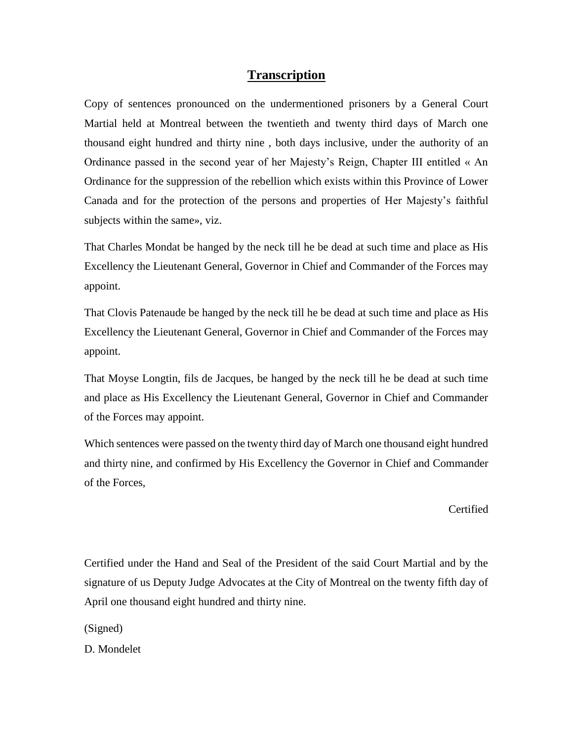## **Transcription**

Copy of sentences pronounced on the undermentioned prisoners by a General Court Martial held at Montreal between the twentieth and twenty third days of March one thousand eight hundred and thirty nine , both days inclusive, under the authority of an Ordinance passed in the second year of her Majesty's Reign, Chapter III entitled « An Ordinance for the suppression of the rebellion which exists within this Province of Lower Canada and for the protection of the persons and properties of Her Majesty's faithful subjects within the same», viz.

That Charles Mondat be hanged by the neck till he be dead at such time and place as His Excellency the Lieutenant General, Governor in Chief and Commander of the Forces may appoint.

That Clovis Patenaude be hanged by the neck till he be dead at such time and place as His Excellency the Lieutenant General, Governor in Chief and Commander of the Forces may appoint.

That Moyse Longtin, fils de Jacques, be hanged by the neck till he be dead at such time and place as His Excellency the Lieutenant General, Governor in Chief and Commander of the Forces may appoint.

Which sentences were passed on the twenty third day of March one thousand eight hundred and thirty nine, and confirmed by His Excellency the Governor in Chief and Commander of the Forces,

**Certified** 

Certified under the Hand and Seal of the President of the said Court Martial and by the signature of us Deputy Judge Advocates at the City of Montreal on the twenty fifth day of April one thousand eight hundred and thirty nine.

(Signed)

D. Mondelet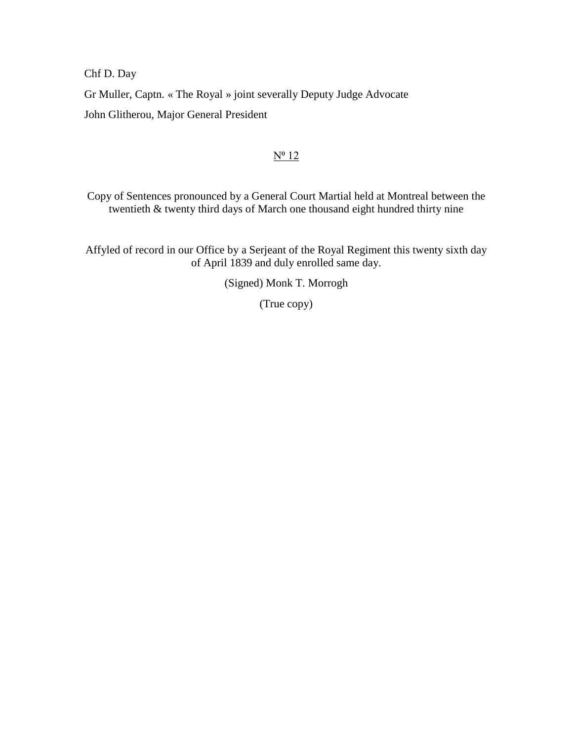Chf D. Day

Gr Muller, Captn. « The Royal » joint severally Deputy Judge Advocate

John Glitherou, Major General President

## $N^0$  12

Copy of Sentences pronounced by a General Court Martial held at Montreal between the twentieth & twenty third days of March one thousand eight hundred thirty nine

Affyled of record in our Office by a Serjeant of the Royal Regiment this twenty sixth day of April 1839 and duly enrolled same day.

(Signed) Monk T. Morrogh

(True copy)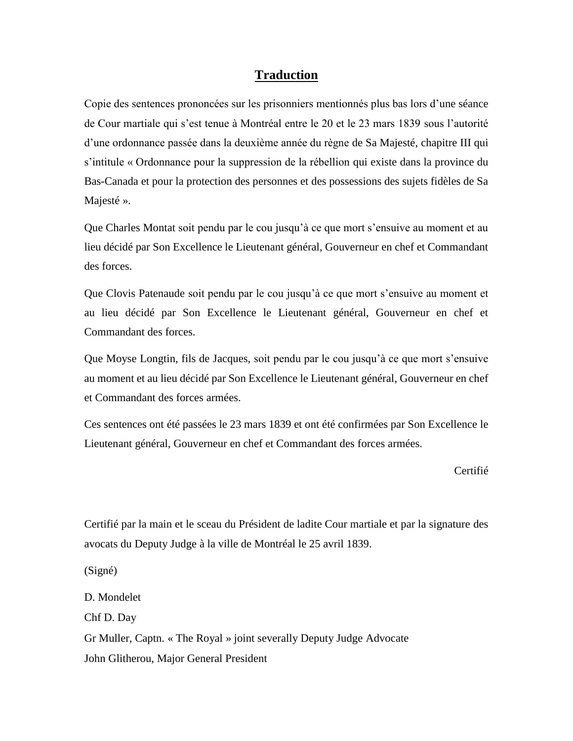## **Traduction**

Copie des sentences prononcées sur les prisonniers mentionnés plus bas lors d'une séance de Cour martiale qui s'est tenue à Montréal entre le 20 et le 23 mars 1839 sous l'autorité d'une ordonnance passée dans la deuxième année du règne de Sa Majesté, chapitre III qui s'intitule « Ordonnance pour la suppression de la rébellion qui existe dans la province du Bas-Canada et pour la protection des personnes et des possessions des sujets fidèles de Sa Majesté ».

Que Charles Montat soit pendu par le cou jusqu'à ce que mort s'ensuive au moment et au lieu décidé par Son Excellence le Lieutenant général, Gouverneur en chef et Commandant des forces.

Que Clovis Patenaude soit pendu par le cou jusqu'à ce que mort s'ensuive au moment et au lieu décidé par Son Excellence le Lieutenant général, Gouverneur en chef et Commandant des forces.

Que Moyse Longtin, fils de Jacques, soit pendu par le cou jusqu'à ce que mort s'ensuive au moment et au lieu décidé par Son Excellence le Lieutenant général, Gouverneur en chef et Commandant des forces armées.

Ces sentences ont été passées le 23 mars 1839 et ont été confirmées par Son Excellence le Lieutenant général, Gouverneur en chef et Commandant des forces armées.

Certifié

Certifié par la main et le sceau du Président de ladite Cour martiale et par la signature des avocats du Deputy Judge à la ville de Montréal le 25 avril 1839.

(Signé)

D. Mondelet

Chf D. Day

Gr Muller, Captn. « The Royal » joint severally Deputy Judge Advocate John Glitherou, Major General President